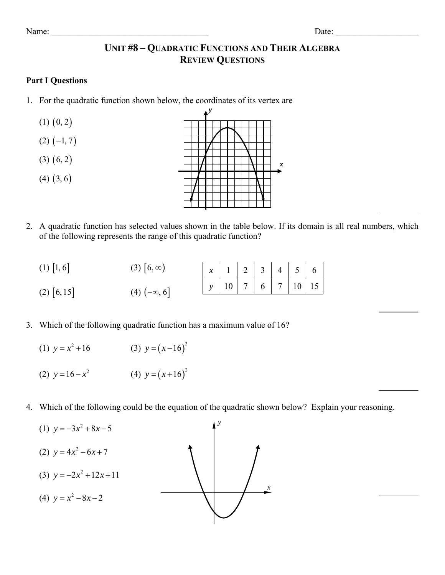## **UNIT #8 – QUADRATIC FUNCTIONS AND THEIR ALGEBRA REVIEW QUESTIONS**

## **Part I Questions**

- 1. For the quadratic function shown below, the coordinates of its vertex are
	- $(1)$   $(0, 2)$
	- $(2)$   $(-1, 7)$
	- $(3)$   $(6, 2)$
	- $(4)$   $(3, 6)$



2. A quadratic function has selected values shown in the table below. If its domain is all real numbers, which of the following represents the range of this quadratic function?

| $(1)$   1, 6  | $(3)   6, \infty)$   | $x \mid 1 \mid 2 \mid 3 \mid 4 \mid 5 \mid 6$ |  |  |                  |
|---------------|----------------------|-----------------------------------------------|--|--|------------------|
| $(2)$   6, 15 | $(4)$ $(-\infty, 6]$ |                                               |  |  | $10$ 7 6 7 10 15 |

- 3. Which of the following quadratic function has a maximum value of 16?
	- (1)  $y = x^2 + 16$  $y = x^2 + 16$  (3)  $y = (x-16)^2$
- (2)  $y=16-x^2$  (4)  $y=(x+16)^2$
- 4. Which of the following could be the equation of the quadratic shown below? Explain your reasoning.

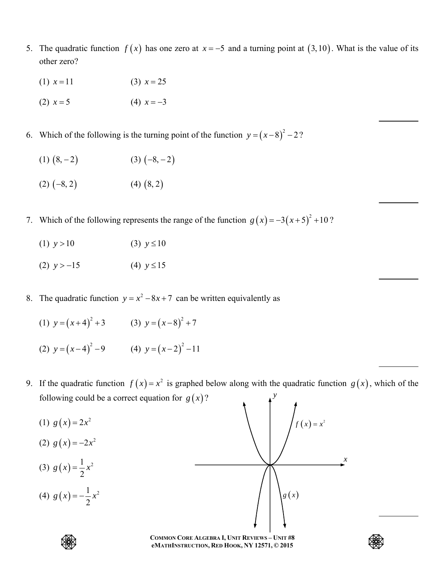- 5. The quadratic function  $f(x)$  has one zero at  $x = -5$  and a turning point at  $(3,10)$ . What is the value of its other zero?
	- (1)  $x = 11$  (3)  $x = 25$
	- (2)  $x = 5$  (4)  $x = -3$
- 6. Which of the following is the turning point of the function  $y = (x-8)^2 2$ ?
	- $(1)$   $(8, -2)$   $(3)$   $(-8, -2)$
	- $(2) (-8, 2)$  (4)  $(8, 2)$
- 7. Which of the following represents the range of the function  $g(x) = -3(x+5)^2 + 10$ ?
	- (1)  $y > 10$  (3)  $y \le 10$
	- (2)  $y > -15$  (4)  $y \le 15$
- 8. The quadratic function  $y = x^2 8x + 7$  can be written equivalently as
- (1)  $y = (x+4)^2 + 3$  (3)  $y = (x-8)^2 + 7$
- (2)  $y=(x-4)^2-9$  (4)  $y=(x-2)^2-11$
- 9. If the quadratic function  $f(x) = x^2$  is graphed below along with the quadratic function  $g(x)$ , which of the following could be a correct equation for  $g(x)$ ? *y*
- (1)  $g(x) = 2x^2$
- (2)  $g(x) = -2x^2$
- (3)  $g(x) = \frac{1}{2}x^2$
- (4)  $g(x) = -\frac{1}{2}x^2$





**COMMON CORE ALGEBRA I, UNIT REVIEWS – UNIT #8 eMATHINSTRUCTION, RED HOOK, NY 12571, © 2015** 

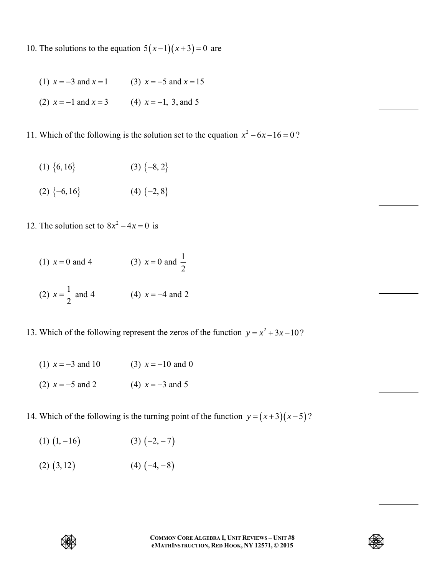- 10. The solutions to the equation  $5(x-1)(x+3) = 0$  are
	- (1)  $x = -3$  and  $x = 1$  (3)  $x = -5$  and  $x = 15$ (2)  $x = -1$  and  $x = 3$  (4)  $x = -1$ , 3, and 5
- 11. Which of the following is the solution set to the equation  $x^2 6x 16 = 0$ ?
	- (1)  $\{6, 16\}$  (3)  $\{-8, 2\}$
	- (2)  $\{-6,16\}$  (4)  $\{-2,8\}$
- 12. The solution set to  $8x^2 4x = 0$  is

(1) 
$$
x = 0
$$
 and 4   
 (3)  $x = 0$  and  $\frac{1}{2}$   
(2)  $x = \frac{1}{2}$  and 4   
 (4)  $x = -4$  and 2

- 13. Which of the following represent the zeros of the function  $y = x^2 + 3x 10$ ?
	- (1)  $x = -3$  and 10 (3)  $x = -10$  and 0
	- (2)  $x = -5$  and 2 (4)  $x = -3$  and 5
- 14. Which of the following is the turning point of the function  $y = (x+3)(x-5)$ ?
	- (1)  $(1, -16)$  (3)  $(-2, -7)$
	- $(2)$   $(3,12)$   $(4)$   $(-4,-8)$



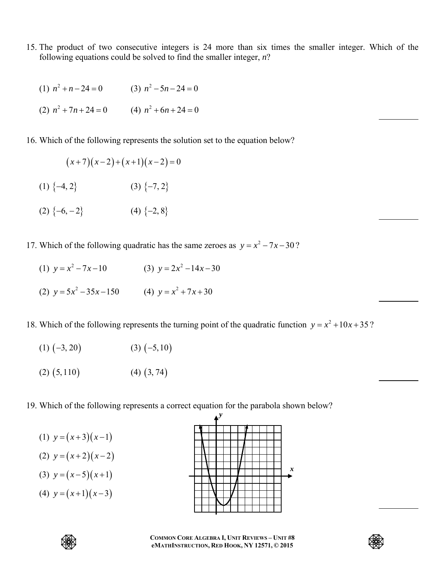- 15. The product of two consecutive integers is 24 more than six times the smaller integer. Which of the following equations could be solved to find the smaller integer, *n*?
- (1)  $n^2 + n 24 = 0$  (3)  $n^2 5n 24 = 0$ (2)  $n^2 + 7n + 24 = 0$  (4)  $n^2 + 6n + 24 = 0$
- 16. Which of the following represents the solution set to the equation below?

$$
(x+7)(x-2)+(x+1)(x-2)=0
$$

- (1)  $\{-4, 2\}$  (3)  $\{-7, 2\}$
- (2)  $\{-6, -2\}$  (4)  $\{-2, 8\}$
- 17. Which of the following quadratic has the same zeroes as  $y = x^2 7x 30$ ?
- (1)  $y = x^2 7x 10$  $y = x^2 - 7x - 10$  (3)  $y = 2x^2 - 14x - 30$ (2)  $y = 5x^2 - 35x - 150$  (4)  $y = x^2 + 7x + 30$

18. Which of the following represents the turning point of the quadratic function  $y = x^2 + 10x + 35$ ?

- $(1)$   $(-3, 20)$   $(3)$   $(-5, 10)$
- $(2)$   $(5,110)$   $(4)$   $(3,74)$
- 19. Which of the following represents a correct equation for the parabola shown below?
	- (1)  $y=(x+3)(x-1)$
	- (2)  $y=(x+2)(x-2)$
	- (3)  $y=(x-5)(x+1)$
	- (4)  $y=(x+1)(x-3)$





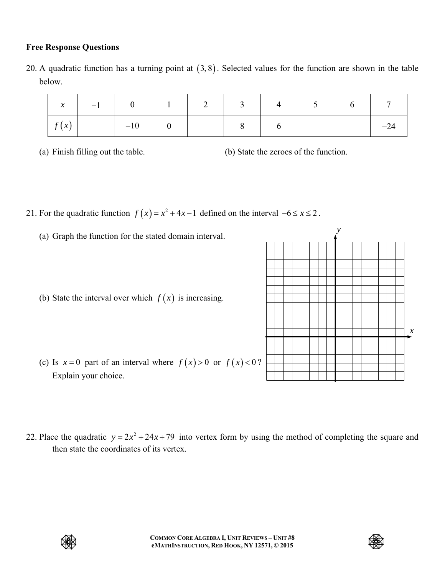## **Free Response Questions**

20. A quadratic function has a turning point at  $(3, 8)$ . Selected values for the function are shown in the table below.

|                       |         |  | $1 \quad 2 \quad 3 \quad 4$ |  |  |
|-----------------------|---------|--|-----------------------------|--|--|
| $\left  f(x) \right $ | $-10$ 1 |  |                             |  |  |

(a) Finish filling out the table. (b) State the zeroes of the function.

- 21. For the quadratic function  $f(x) = x^2 + 4x 1$  defined on the interval  $-6 \le x \le 2$ .
	- (a) Graph the function for the stated domain interval.
	- (b) State the interval over which  $f(x)$  is increasing.
	- (c) Is  $x = 0$  part of an interval where  $f(x) > 0$  or  $f(x) < 0$ ? Explain your choice.
- 22. Place the quadratic  $y = 2x^2 + 24x + 79$  into vertex form by using the method of completing the square and then state the coordinates of its vertex.





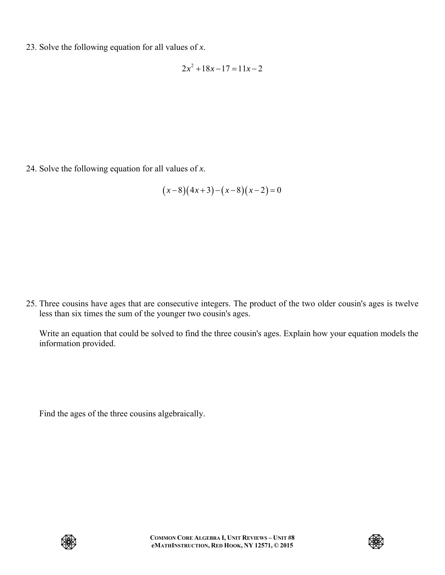23. Solve the following equation for all values of *x*.

$$
2x^2 + 18x - 17 = 11x - 2
$$

24. Solve the following equation for all values of *x*.

$$
(x-8)(4x+3)-(x-8)(x-2)=0
$$

25. Three cousins have ages that are consecutive integers. The product of the two older cousin's ages is twelve less than six times the sum of the younger two cousin's ages.

 Write an equation that could be solved to find the three cousin's ages. Explain how your equation models the information provided.

Find the ages of the three cousins algebraically.